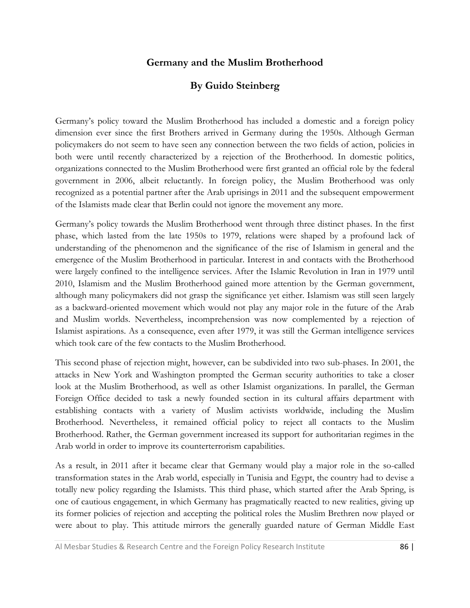# **Germany and the Muslim Brotherhood**

# **By Guido Steinberg**

Germany's policy toward the Muslim Brotherhood has included a domestic and a foreign policy dimension ever since the first Brothers arrived in Germany during the 1950s. Although German policymakers do not seem to have seen any connection between the two fields of action, policies in both were until recently characterized by a rejection of the Brotherhood. In domestic politics, organizations connected to the Muslim Brotherhood were first granted an official role by the federal government in 2006, albeit reluctantly. In foreign policy, the Muslim Brotherhood was only recognized as a potential partner after the Arab uprisings in 2011 and the subsequent empowerment of the Islamists made clear that Berlin could not ignore the movement any more.

Germany's policy towards the Muslim Brotherhood went through three distinct phases. In the first phase, which lasted from the late 1950s to 1979, relations were shaped by a profound lack of understanding of the phenomenon and the significance of the rise of Islamism in general and the emergence of the Muslim Brotherhood in particular. Interest in and contacts with the Brotherhood were largely confined to the intelligence services. After the Islamic Revolution in Iran in 1979 until 2010, Islamism and the Muslim Brotherhood gained more attention by the German government, although many policymakers did not grasp the significance yet either. Islamism was still seen largely as a backward-oriented movement which would not play any major role in the future of the Arab and Muslim worlds. Nevertheless, incomprehension was now complemented by a rejection of Islamist aspirations. As a consequence, even after 1979, it was still the German intelligence services which took care of the few contacts to the Muslim Brotherhood.

This second phase of rejection might, however, can be subdivided into two sub-phases. In 2001, the attacks in New York and Washington prompted the German security authorities to take a closer look at the Muslim Brotherhood, as well as other Islamist organizations. In parallel, the German Foreign Office decided to task a newly founded section in its cultural affairs department with establishing contacts with a variety of Muslim activists worldwide, including the Muslim Brotherhood. Nevertheless, it remained official policy to reject all contacts to the Muslim Brotherhood. Rather, the German government increased its support for authoritarian regimes in the Arab world in order to improve its counterterrorism capabilities.

As a result, in 2011 after it became clear that Germany would play a major role in the so-called transformation states in the Arab world, especially in Tunisia and Egypt, the country had to devise a totally new policy regarding the Islamists. This third phase, which started after the Arab Spring, is one of cautious engagement, in which Germany has pragmatically reacted to new realities, giving up its former policies of rejection and accepting the political roles the Muslim Brethren now played or were about to play. This attitude mirrors the generally guarded nature of German Middle East

Al Mesbar Studies & Research Centre and the Foreign Policy Research Institute 86 | 86 |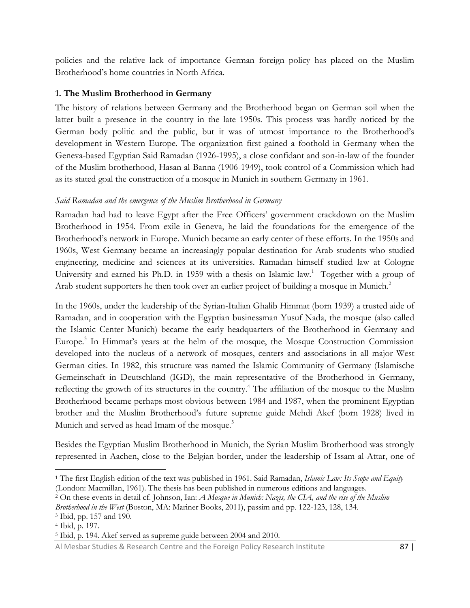policies and the relative lack of importance German foreign policy has placed on the Muslim Brotherhood's home countries in North Africa.

### **1. The Muslim Brotherhood in Germany**

The history of relations between Germany and the Brotherhood began on German soil when the latter built a presence in the country in the late 1950s. This process was hardly noticed by the German body politic and the public, but it was of utmost importance to the Brotherhood's development in Western Europe. The organization first gained a foothold in Germany when the Geneva-based Egyptian Said Ramadan (1926-1995), a close confidant and son-in-law of the founder of the Muslim brotherhood, Hasan al-Banna (1906-1949), took control of a Commission which had as its stated goal the construction of a mosque in Munich in southern Germany in 1961.

### *Said Ramadan and the emergence of the Muslim Brotherhood in Germany*

Ramadan had had to leave Egypt after the Free Officers' government crackdown on the Muslim Brotherhood in 1954. From exile in Geneva, he laid the foundations for the emergence of the Brotherhood's network in Europe. Munich became an early center of these efforts. In the 1950s and 1960s, West Germany became an increasingly popular destination for Arab students who studied engineering, medicine and sciences at its universities. Ramadan himself studied law at Cologne University and earned his Ph.D. in 1959 with a thesis on Islamic law.<sup>1</sup> Together with a group of Arab student supporters he then took over an earlier project of building a mosque in Munich.<sup>2</sup>

In the 1960s, under the leadership of the Syrian-Italian Ghalib Himmat (born 1939) a trusted aide of Ramadan, and in cooperation with the Egyptian businessman Yusuf Nada, the mosque (also called the Islamic Center Munich) became the early headquarters of the Brotherhood in Germany and Europe.<sup>3</sup> In Himmat's years at the helm of the mosque, the Mosque Construction Commission developed into the nucleus of a network of mosques, centers and associations in all major West German cities. In 1982, this structure was named the Islamic Community of Germany (Islamische Gemeinschaft in Deutschland (IGD), the main representative of the Brotherhood in Germany, reflecting the growth of its structures in the country. <sup>4</sup> The affiliation of the mosque to the Muslim Brotherhood became perhaps most obvious between 1984 and 1987, when the prominent Egyptian brother and the Muslim Brotherhood's future supreme guide Mehdi Akef (born 1928) lived in Munich and served as head Imam of the mosque.<sup>5</sup>

Besides the Egyptian Muslim Brotherhood in Munich, the Syrian Muslim Brotherhood was strongly represented in Aachen, close to the Belgian border, under the leadership of Issam al-Attar, one of

<sup>2</sup> On these events in detail cf. Johnson, Ian: *A Mosque in Munich: Nazis, the CIA, and the rise of the Muslim Brotherhood in the West* (Boston, MA: Mariner Books, 2011), passim and pp. 122-123, 128, 134.

<sup>1</sup> The first English edition of the text was published in 1961. Said Ramadan, *Islamic Law: Its Scope and Equity* (London: Macmillan, 1961). The thesis has been published in numerous editions and languages.

<sup>3</sup> Ibid, pp. 157 and 190.

<sup>4</sup> Ibid, p. 197.

<sup>5</sup> Ibid, p. 194. Akef served as supreme guide between 2004 and 2010.

Al Mesbar Studies & Research Centre and the Foreign Policy Research Institute 87 | 87 |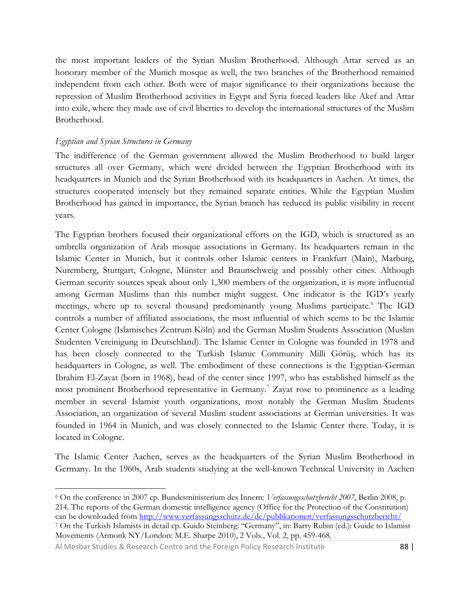the most important leaders of the Syrian Muslim Brotherhood. Although Attar served as an honorary member of the Munich mosque as well, the two branches of the Brotherhood remained independent from each other. Both were of major significance to their organizations because the repression of Muslim Brotherhood activities in Egypt and Syria forced leaders like Akef and Attar into exile, where they made use of civil liberties to develop the international structures of the Muslim Brotherhood.

#### *Egyptian and Syrian Structures in Germany*

The indifference of the German government allowed the Muslim Brotherhood to build larger structures all over Germany, which were divided between the Egyptian Brotherhood with its headquarters in Munich and the Syrian Brotherhood with its headquarters in Aachen. At times, the structures cooperated intensely but they remained separate entities. While the Egyptian Muslim Brotherhood has gained in importance, the Syrian branch has reduced its public visibility in recent years.

The Egyptian brothers focused their organizational efforts on the IGD, which is structured as an umbrella organization of Arab mosque associations in Germany. Its headquarters remain in the Islamic Center in Munich, but it controls other Islamic centers in Frankfurt (Main), Marburg, Nuremberg, Stuttgart, Cologne, Münster and Braunschweig and possibly other cities. Although German security sources speak about only 1,300 members of the organization, it is more influential among German Muslims than this number might suggest. One indicator is the IGD's yearly meetings, where up to several thousand predominantly young Muslims participate.<sup>6</sup> The IGD controls a number of affiliated associations, the most influential of which seems to be the Islamic Center Cologne (Islamisches Zentrum Köln) and the German Muslim Students Association (Muslim Studenten Vereinigung in Deutschland). The Islamic Center in Cologne was founded in 1978 and has been closely connected to the Turkish Islamic Community Milli Görüş, which has its headquarters in Cologne, as well. The embodiment of these connections is the Egyptian-German Ibrahim El-Zayat (born in 1968), head of the center since 1997, who has established himself as the most prominent Brotherhood representative in Germany.<sup>7</sup> Zayat rose to prominence as a leading member in several Islamist youth organizations, most notably the German Muslim Students Association, an organization of several Muslim student associations at German universities. It was founded in 1964 in Munich, and was closely connected to the Islamic Center there. Today, it is located in Cologne.

The Islamic Center Aachen, serves as the headquarters of the Syrian Muslim Brotherhood in Germany. In the 1960s, Arab students studying at the well-known Technical University in Aachen

 $\overline{\phantom{a}}$ <sup>6</sup> On the conference in 2007 cp. Bundesministerium des Innern: *Verfassungsschutzbericht 2007*, Berlin 2008, p. 214. The reports of the German domestic intelligence agency (Office for the Protection of the Constitution) can be downloaded from<http://www.verfassungsschutz.de/de/publikationen/verfassungsschutzbericht/>

<sup>7</sup> On the Turkish Islamists in detail cp. Guido Steinberg: "Germany", in: Barry Rubin (ed.): Guide to Islamist Movements (Armonk NY/London: M.E. Sharpe 2010), 2 Vols., Vol. 2, pp. 459-468.

Al Mesbar Studies & Research Centre and the Foreign Policy Research Institute 88 | 88 |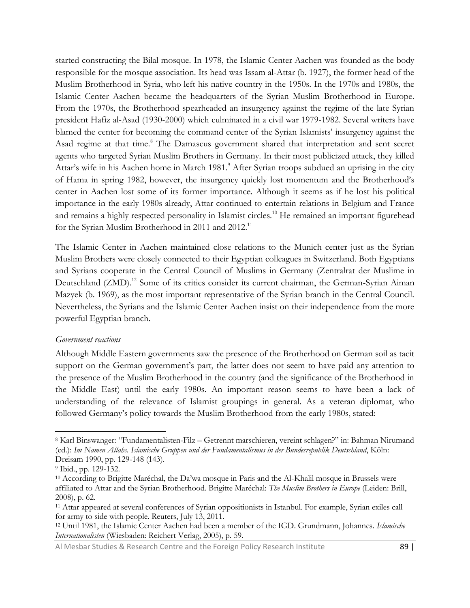started constructing the Bilal mosque. In 1978, the Islamic Center Aachen was founded as the body responsible for the mosque association. Its head was Issam al-Attar (b. 1927), the former head of the Muslim Brotherhood in Syria, who left his native country in the 1950s. In the 1970s and 1980s, the Islamic Center Aachen became the headquarters of the Syrian Muslim Brotherhood in Europe. From the 1970s, the Brotherhood spearheaded an insurgency against the regime of the late Syrian president Hafiz al-Asad (1930-2000) which culminated in a civil war 1979-1982. Several writers have blamed the center for becoming the command center of the Syrian Islamists' insurgency against the Asad regime at that time.<sup>8</sup> The Damascus government shared that interpretation and sent secret agents who targeted Syrian Muslim Brothers in Germany. In their most publicized attack, they killed Attar's wife in his Aachen home in March 1981.<sup>9</sup> After Syrian troops subdued an uprising in the city of Hama in spring 1982, however, the insurgency quickly lost momentum and the Brotherhood's center in Aachen lost some of its former importance. Although it seems as if he lost his political importance in the early 1980s already, Attar continued to entertain relations in Belgium and France and remains a highly respected personality in Islamist circles.<sup>10</sup> He remained an important figurehead for the Syrian Muslim Brotherhood in 2011 and 2012.<sup>11</sup>

The Islamic Center in Aachen maintained close relations to the Munich center just as the Syrian Muslim Brothers were closely connected to their Egyptian colleagues in Switzerland. Both Egyptians and Syrians cooperate in the Central Council of Muslims in Germany (Zentralrat der Muslime in Deutschland (ZMD).<sup>12</sup> Some of its critics consider its current chairman, the German-Syrian Aiman Mazyek (b. 1969), as the most important representative of the Syrian branch in the Central Council. Nevertheless, the Syrians and the Islamic Center Aachen insist on their independence from the more powerful Egyptian branch.

#### *Government reactions*

Although Middle Eastern governments saw the presence of the Brotherhood on German soil as tacit support on the German government's part, the latter does not seem to have paid any attention to the presence of the Muslim Brotherhood in the country (and the significance of the Brotherhood in the Middle East) until the early 1980s. An important reason seems to have been a lack of understanding of the relevance of Islamist groupings in general. As a veteran diplomat, who followed Germany's policy towards the Muslim Brotherhood from the early 1980s, stated:

 $\overline{\phantom{a}}$ 

Al Mesbar Studies & Research Centre and the Foreign Policy Research Institute 89 |

<sup>8</sup> Karl Binswanger: "Fundamentalisten-Filz – Getrennt marschieren, vereint schlagen?" in: Bahman Nirumand (ed.): *Im Namen Allahs. Islamische Gruppen und der Fundamentalismus in der Bundesrepublik Deutschland*, Köln: Dreisam 1990, pp. 129-148 (143).

<sup>9</sup> Ibid., pp. 129-132.

<sup>10</sup> According to Brigitte Maréchal, the Da'wa mosque in Paris and the Al-Khalil mosque in Brussels were affiliated to Attar and the Syrian Brotherhood. Brigitte Maréchal: *The Muslim Brothers in Europe* (Leiden: Brill, 2008), p. 62.

<sup>11</sup> Attar appeared at several conferences of Syrian oppositionists in Istanbul. For example, Syrian exiles call for army to side with people. Reuters, July 13, 2011.

<sup>12</sup> Until 1981, the Islamic Center Aachen had been a member of the IGD. Grundmann, Johannes. *Islamische Internationalisten* (Wiesbaden: Reichert Verlag, 2005), p. 59.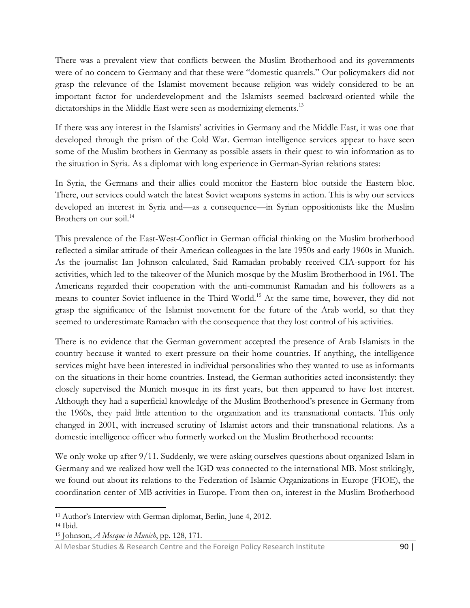There was a prevalent view that conflicts between the Muslim Brotherhood and its governments were of no concern to Germany and that these were "domestic quarrels." Our policymakers did not grasp the relevance of the Islamist movement because religion was widely considered to be an important factor for underdevelopment and the Islamists seemed backward-oriented while the dictatorships in the Middle East were seen as modernizing elements.<sup>13</sup>

If there was any interest in the Islamists' activities in Germany and the Middle East, it was one that developed through the prism of the Cold War. German intelligence services appear to have seen some of the Muslim brothers in Germany as possible assets in their quest to win information as to the situation in Syria. As a diplomat with long experience in German-Syrian relations states:

In Syria, the Germans and their allies could monitor the Eastern bloc outside the Eastern bloc. There, our services could watch the latest Soviet weapons systems in action. This is why our services developed an interest in Syria and—as a consequence—in Syrian oppositionists like the Muslim Brothers on our soil.<sup>14</sup>

This prevalence of the East-West-Conflict in German official thinking on the Muslim brotherhood reflected a similar attitude of their American colleagues in the late 1950s and early 1960s in Munich. As the journalist Ian Johnson calculated, Said Ramadan probably received CIA-support for his activities, which led to the takeover of the Munich mosque by the Muslim Brotherhood in 1961. The Americans regarded their cooperation with the anti-communist Ramadan and his followers as a means to counter Soviet influence in the Third World.<sup>15</sup> At the same time, however, they did not grasp the significance of the Islamist movement for the future of the Arab world, so that they seemed to underestimate Ramadan with the consequence that they lost control of his activities.

There is no evidence that the German government accepted the presence of Arab Islamists in the country because it wanted to exert pressure on their home countries. If anything, the intelligence services might have been interested in individual personalities who they wanted to use as informants on the situations in their home countries. Instead, the German authorities acted inconsistently: they closely supervised the Munich mosque in its first years, but then appeared to have lost interest. Although they had a superficial knowledge of the Muslim Brotherhood's presence in Germany from the 1960s, they paid little attention to the organization and its transnational contacts. This only changed in 2001, with increased scrutiny of Islamist actors and their transnational relations. As a domestic intelligence officer who formerly worked on the Muslim Brotherhood recounts:

We only woke up after  $9/11$ . Suddenly, we were asking ourselves questions about organized Islam in Germany and we realized how well the IGD was connected to the international MB. Most strikingly, we found out about its relations to the Federation of Islamic Organizations in Europe (FIOE), the coordination center of MB activities in Europe. From then on, interest in the Muslim Brotherhood

<sup>13</sup> Author's Interview with German diplomat, Berlin, June 4, 2012.

 $14$  Ibid.

<sup>15</sup> Johnson, *A Mosque in Munich*, pp. 128, 171.

Al Mesbar Studies & Research Centre and the Foreign Policy Research Institute 90 |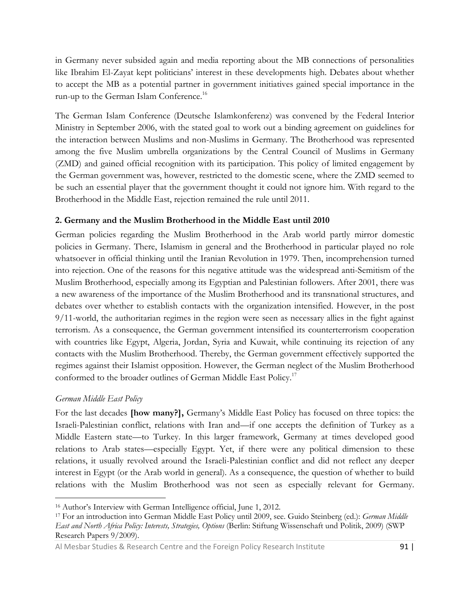in Germany never subsided again and media reporting about the MB connections of personalities like Ibrahim El-Zayat kept politicians' interest in these developments high. Debates about whether to accept the MB as a potential partner in government initiatives gained special importance in the run-up to the German Islam Conference.<sup>16</sup>

The German Islam Conference (Deutsche Islamkonferenz) was convened by the Federal Interior Ministry in September 2006, with the stated goal to work out a binding agreement on guidelines for the interaction between Muslims and non-Muslims in Germany. The Brotherhood was represented among the five Muslim umbrella organizations by the Central Council of Muslims in Germany (ZMD) and gained official recognition with its participation. This policy of limited engagement by the German government was, however, restricted to the domestic scene, where the ZMD seemed to be such an essential player that the government thought it could not ignore him. With regard to the Brotherhood in the Middle East, rejection remained the rule until 2011.

### **2. Germany and the Muslim Brotherhood in the Middle East until 2010**

German policies regarding the Muslim Brotherhood in the Arab world partly mirror domestic policies in Germany. There, Islamism in general and the Brotherhood in particular played no role whatsoever in official thinking until the Iranian Revolution in 1979. Then, incomprehension turned into rejection. One of the reasons for this negative attitude was the widespread anti-Semitism of the Muslim Brotherhood, especially among its Egyptian and Palestinian followers. After 2001, there was a new awareness of the importance of the Muslim Brotherhood and its transnational structures, and debates over whether to establish contacts with the organization intensified. However, in the post 9/11-world, the authoritarian regimes in the region were seen as necessary allies in the fight against terrorism. As a consequence, the German government intensified its counterterrorism cooperation with countries like Egypt, Algeria, Jordan, Syria and Kuwait, while continuing its rejection of any contacts with the Muslim Brotherhood. Thereby, the German government effectively supported the regimes against their Islamist opposition. However, the German neglect of the Muslim Brotherhood conformed to the broader outlines of German Middle East Policy.<sup>17</sup>

#### *German Middle East Policy*

 $\overline{\phantom{a}}$ 

For the last decades **[how many?],** Germany's Middle East Policy has focused on three topics: the Israeli-Palestinian conflict, relations with Iran and—if one accepts the definition of Turkey as a Middle Eastern state—to Turkey. In this larger framework, Germany at times developed good relations to Arab states—especially Egypt. Yet, if there were any political dimension to these relations, it usually revolved around the Israeli-Palestinian conflict and did not reflect any deeper interest in Egypt (or the Arab world in general). As a consequence, the question of whether to build relations with the Muslim Brotherhood was not seen as especially relevant for Germany.

<sup>16</sup> Author's Interview with German Intelligence official, June 1, 2012.

<sup>17</sup> For an introduction into German Middle East Policy until 2009, see. Guido Steinberg (ed.): *German Middle East and North Africa Policy: Interests, Strategies, Options* (Berlin: Stiftung Wissenschaft und Politik, 2009) (SWP Research Papers 9/2009).

Al Mesbar Studies & Research Centre and the Foreign Policy Research Institute 91 |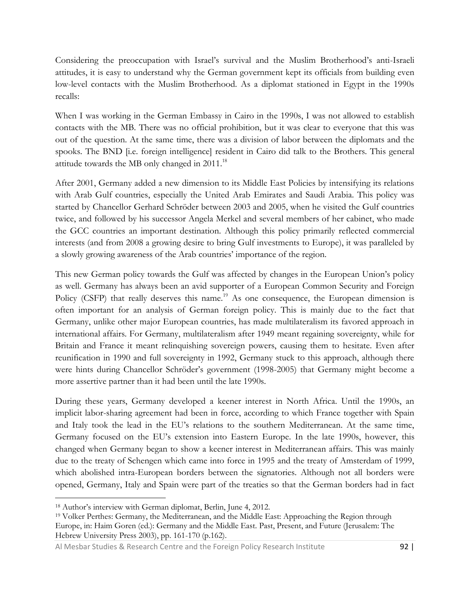Considering the preoccupation with Israel's survival and the Muslim Brotherhood's anti-Israeli attitudes, it is easy to understand why the German government kept its officials from building even low-level contacts with the Muslim Brotherhood. As a diplomat stationed in Egypt in the 1990s recalls:

When I was working in the German Embassy in Cairo in the 1990s, I was not allowed to establish contacts with the MB. There was no official prohibition, but it was clear to everyone that this was out of the question. At the same time, there was a division of labor between the diplomats and the spooks. The BND [i.e. foreign intelligence] resident in Cairo did talk to the Brothers. This general attitude towards the MB only changed in 2011.<sup>18</sup>

After 2001, Germany added a new dimension to its Middle East Policies by intensifying its relations with Arab Gulf countries, especially the United Arab Emirates and Saudi Arabia. This policy was started by Chancellor Gerhard Schröder between 2003 and 2005, when he visited the Gulf countries twice, and followed by his successor Angela Merkel and several members of her cabinet, who made the GCC countries an important destination. Although this policy primarily reflected commercial interests (and from 2008 a growing desire to bring Gulf investments to Europe), it was paralleled by a slowly growing awareness of the Arab countries' importance of the region.

This new German policy towards the Gulf was affected by changes in the European Union's policy as well. Germany has always been an avid supporter of a European Common Security and Foreign Policy (CSFP) that really deserves this name.<sup>19</sup> As one consequence, the European dimension is often important for an analysis of German foreign policy. This is mainly due to the fact that Germany, unlike other major European countries, has made multilateralism its favored approach in international affairs. For Germany, multilateralism after 1949 meant regaining sovereignty, while for Britain and France it meant relinquishing sovereign powers, causing them to hesitate. Even after reunification in 1990 and full sovereignty in 1992, Germany stuck to this approach, although there were hints during Chancellor Schröder's government (1998-2005) that Germany might become a more assertive partner than it had been until the late 1990s.

During these years, Germany developed a keener interest in North Africa. Until the 1990s, an implicit labor-sharing agreement had been in force, according to which France together with Spain and Italy took the lead in the EU's relations to the southern Mediterranean. At the same time, Germany focused on the EU's extension into Eastern Europe. In the late 1990s, however, this changed when Germany began to show a keener interest in Mediterranean affairs. This was mainly due to the treaty of Schengen which came into force in 1995 and the treaty of Amsterdam of 1999, which abolished intra-European borders between the signatories. Although not all borders were opened, Germany, Italy and Spain were part of the treaties so that the German borders had in fact

<sup>18</sup> Author's interview with German diplomat, Berlin, June 4, 2012.

<sup>19</sup> Volker Perthes: Germany, the Mediterranean, and the Middle East: Approaching the Region through Europe, in: Haim Goren (ed.): Germany and the Middle East. Past, Present, and Future (Jerusalem: The Hebrew University Press 2003), pp. 161-170 (p.162).

Al Mesbar Studies & Research Centre and the Foreign Policy Research Institute 92 |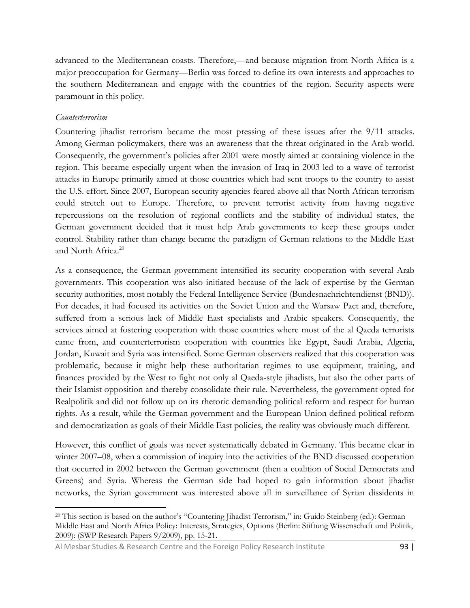advanced to the Mediterranean coasts. Therefore,—and because migration from North Africa is a major preoccupation for Germany—Berlin was forced to define its own interests and approaches to the southern Mediterranean and engage with the countries of the region. Security aspects were paramount in this policy.

#### *Counterterrorism*

Countering jihadist terrorism became the most pressing of these issues after the 9/11 attacks. Among German policymakers, there was an awareness that the threat originated in the Arab world. Consequently, the government's policies after 2001 were mostly aimed at containing violence in the region. This became especially urgent when the invasion of Iraq in 2003 led to a wave of terrorist attacks in Europe primarily aimed at those countries which had sent troops to the country to assist the U.S. effort. Since 2007, European security agencies feared above all that North African terrorism could stretch out to Europe. Therefore, to prevent terrorist activity from having negative repercussions on the resolution of regional conflicts and the stability of individual states, the German government decided that it must help Arab governments to keep these groups under control. Stability rather than change became the paradigm of German relations to the Middle East and North Africa.<sup>20</sup>

As a consequence, the German government intensified its security cooperation with several Arab governments. This cooperation was also initiated because of the lack of expertise by the German security authorities, most notably the Federal Intelligence Service (Bundesnachrichtendienst (BND)). For decades, it had focused its activities on the Soviet Union and the Warsaw Pact and, therefore, suffered from a serious lack of Middle East specialists and Arabic speakers. Consequently, the services aimed at fostering cooperation with those countries where most of the al Qaeda terrorists came from, and counterterrorism cooperation with countries like Egypt, Saudi Arabia, Algeria, Jordan, Kuwait and Syria was intensified. Some German observers realized that this cooperation was problematic, because it might help these authoritarian regimes to use equipment, training, and finances provided by the West to fight not only al Qaeda-style jihadists, but also the other parts of their Islamist opposition and thereby consolidate their rule. Nevertheless, the government opted for Realpolitik and did not follow up on its rhetoric demanding political reform and respect for human rights. As a result, while the German government and the European Union defined political reform and democratization as goals of their Middle East policies, the reality was obviously much different.

However, this conflict of goals was never systematically debated in Germany. This became clear in winter 2007–08, when a commission of inquiry into the activities of the BND discussed cooperation that occurred in 2002 between the German government (then a coalition of Social Democrats and Greens) and Syria. Whereas the German side had hoped to gain information about jihadist networks, the Syrian government was interested above all in surveillance of Syrian dissidents in

 $\overline{\phantom{a}}$ <sup>20</sup> This section is based on the author's "Countering Jihadist Terrorism," in: Guido Steinberg (ed.): German Middle East and North Africa Policy: Interests, Strategies, Options (Berlin: Stiftung Wissenschaft und Politik, 2009): (SWP Research Papers 9/2009), pp. 15-21.

Al Mesbar Studies & Research Centre and the Foreign Policy Research Institute 93 |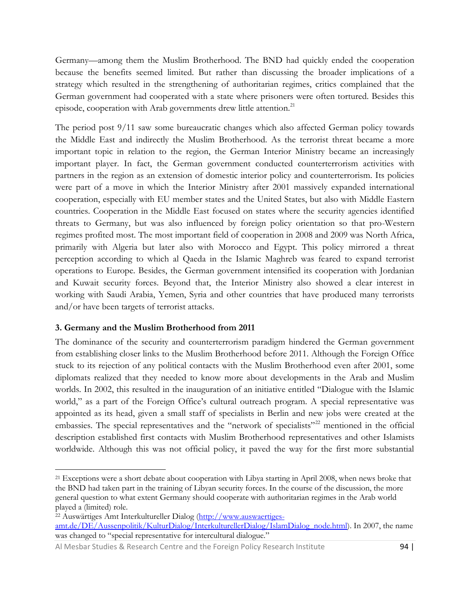Germany—among them the Muslim Brotherhood. The BND had quickly ended the cooperation because the benefits seemed limited. But rather than discussing the broader implications of a strategy which resulted in the strengthening of authoritarian regimes, critics complained that the German government had cooperated with a state where prisoners were often tortured. Besides this episode, cooperation with Arab governments drew little attention.<sup>21</sup>

The period post 9/11 saw some bureaucratic changes which also affected German policy towards the Middle East and indirectly the Muslim Brotherhood. As the terrorist threat became a more important topic in relation to the region, the German Interior Ministry became an increasingly important player. In fact, the German government conducted counterterrorism activities with partners in the region as an extension of domestic interior policy and counterterrorism. Its policies were part of a move in which the Interior Ministry after 2001 massively expanded international cooperation, especially with EU member states and the United States, but also with Middle Eastern countries. Cooperation in the Middle East focused on states where the security agencies identified threats to Germany, but was also influenced by foreign policy orientation so that pro-Western regimes profited most. The most important field of cooperation in 2008 and 2009 was North Africa, primarily with Algeria but later also with Morocco and Egypt. This policy mirrored a threat perception according to which al Qaeda in the Islamic Maghreb was feared to expand terrorist operations to Europe. Besides, the German government intensified its cooperation with Jordanian and Kuwait security forces. Beyond that, the Interior Ministry also showed a clear interest in working with Saudi Arabia, Yemen, Syria and other countries that have produced many terrorists and/or have been targets of terrorist attacks.

### **3. Germany and the Muslim Brotherhood from 2011**

 $\overline{\phantom{a}}$ 

The dominance of the security and counterterrorism paradigm hindered the German government from establishing closer links to the Muslim Brotherhood before 2011. Although the Foreign Office stuck to its rejection of any political contacts with the Muslim Brotherhood even after 2001, some diplomats realized that they needed to know more about developments in the Arab and Muslim worlds. In 2002, this resulted in the inauguration of an initiative entitled "Dialogue with the Islamic world," as a part of the Foreign Office's cultural outreach program. A special representative was appointed as its head, given a small staff of specialists in Berlin and new jobs were created at the embassies. The special representatives and the "network of specialists"<sup>22</sup> mentioned in the official description established first contacts with Muslim Brotherhood representatives and other Islamists worldwide. Although this was not official policy, it paved the way for the first more substantial

<sup>&</sup>lt;sup>21</sup> Exceptions were a short debate about cooperation with Libya starting in April 2008, when news broke that the BND had taken part in the training of Libyan security forces. In the course of the discussion, the more general question to what extent Germany should cooperate with authoritarian regimes in the Arab world played a (limited) role.

<sup>22</sup> Auswärtiges Amt Interkultureller Dialog [\(http://www.auswaertiges](http://www.auswaertiges-amt.de/DE/Aussenpolitik/KulturDialog/InterkulturellerDialog/IslamDialog_node.html)[amt.de/DE/Aussenpolitik/KulturDialog/InterkulturellerDialog/IslamDialog\\_node.html\)](http://www.auswaertiges-amt.de/DE/Aussenpolitik/KulturDialog/InterkulturellerDialog/IslamDialog_node.html). In 2007, the name was changed to "special representative for intercultural dialogue."

Al Mesbar Studies & Research Centre and the Foreign Policy Research Institute 94 |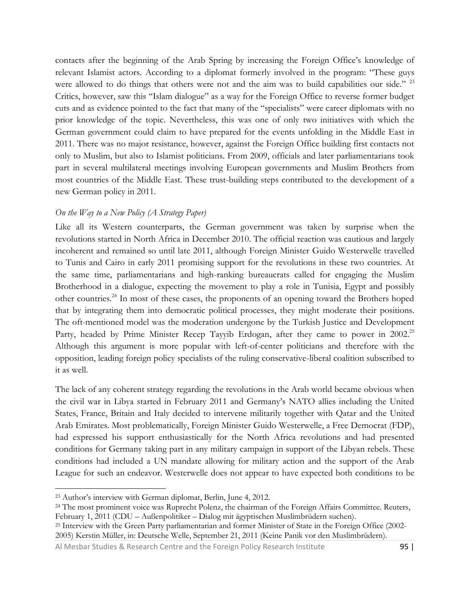contacts after the beginning of the Arab Spring by increasing the Foreign Office's knowledge of relevant Islamist actors. According to a diplomat formerly involved in the program: "These guys were allowed to do things that others were not and the aim was to build capabilities our side." <sup>23</sup> Critics, however, saw this "Islam dialogue" as a way for the Foreign Office to reverse former budget cuts and as evidence pointed to the fact that many of the "specialists" were career diplomats with no prior knowledge of the topic. Nevertheless, this was one of only two initiatives with which the German government could claim to have prepared for the events unfolding in the Middle East in 2011. There was no major resistance, however, against the Foreign Office building first contacts not only to Muslim, but also to Islamist politicians. From 2009, officials and later parliamentarians took part in several multilateral meetings involving European governments and Muslim Brothers from most countries of the Middle East. These trust-building steps contributed to the development of a new German policy in 2011.

### *On the Way to a New Policy (A Strategy Paper)*

Like all its Western counterparts, the German government was taken by surprise when the revolutions started in North Africa in December 2010. The official reaction was cautious and largely incoherent and remained so until late 2011, although Foreign Minister Guido Westerwelle travelled to Tunis and Cairo in early 2011 promising support for the revolutions in these two countries. At the same time, parliamentarians and high-ranking bureaucrats called for engaging the Muslim Brotherhood in a dialogue, expecting the movement to play a role in Tunisia, Egypt and possibly other countries.<sup>24</sup> In most of these cases, the proponents of an opening toward the Brothers hoped that by integrating them into democratic political processes, they might moderate their positions. The oft-mentioned model was the moderation undergone by the Turkish Justice and Development Party, headed by Prime Minister Recep Tayyib Erdogan, after they came to power in 2002.<sup>25</sup> Although this argument is more popular with left-of-center politicians and therefore with the opposition, leading foreign policy specialists of the ruling conservative-liberal coalition subscribed to it as well.

The lack of any coherent strategy regarding the revolutions in the Arab world became obvious when the civil war in Libya started in February 2011 and Germany's NATO allies including the United States, France, Britain and Italy decided to intervene militarily together with Qatar and the United Arab Emirates. Most problematically, Foreign Minister Guido Westerwelle, a Free Democrat (FDP), had expressed his support enthusiastically for the North Africa revolutions and had presented conditions for Germany taking part in any military campaign in support of the Libyan rebels. These conditions had included a UN mandate allowing for military action and the support of the Arab League for such an endeavor. Westerwelle does not appear to have expected both conditions to be

<sup>23</sup> Author's interview with German diplomat, Berlin, June 4, 2012.

<sup>&</sup>lt;sup>24</sup> The most prominent voice was Ruprecht Polenz, the chairman of the Foreign Affairs Committee. Reuters, February 1, 2011 (CDU – Außenpolitiker – Dialog mit ägyptischen Muslimbrüdern suchen).

<sup>25</sup> Interview with the Green Party parliamentarian and former Minister of State in the Foreign Office (2002- 2005) Kerstin Müller, in: Deutsche Welle, September 21, 2011 (Keine Panik vor den Muslimbrüdern).

Al Mesbar Studies & Research Centre and the Foreign Policy Research Institute 95 | 95 |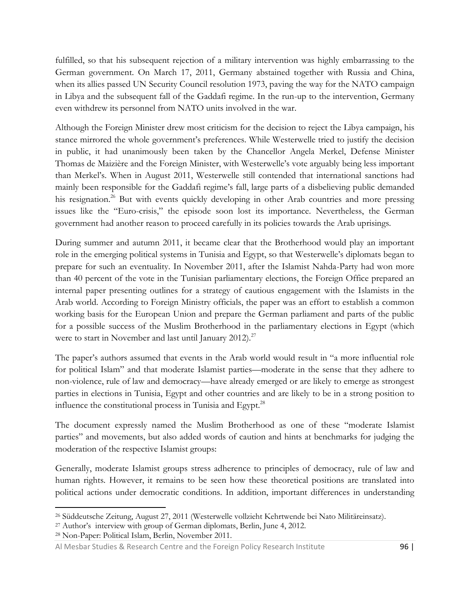fulfilled, so that his subsequent rejection of a military intervention was highly embarrassing to the German government. On March 17, 2011, Germany abstained together with Russia and China, when its allies passed UN Security Council resolution 1973, paving the way for the NATO campaign in Libya and the subsequent fall of the Gaddafi regime. In the run-up to the intervention, Germany even withdrew its personnel from NATO units involved in the war.

Although the Foreign Minister drew most criticism for the decision to reject the Libya campaign, his stance mirrored the whole government's preferences. While Westerwelle tried to justify the decision in public, it had unanimously been taken by the Chancellor Angela Merkel, Defense Minister Thomas de Maizière and the Foreign Minister, with Westerwelle's vote arguably being less important than Merkel's. When in August 2011, Westerwelle still contended that international sanctions had mainly been responsible for the Gaddafi regime's fall, large parts of a disbelieving public demanded his resignation.<sup>26</sup> But with events quickly developing in other Arab countries and more pressing issues like the "Euro-crisis," the episode soon lost its importance. Nevertheless, the German government had another reason to proceed carefully in its policies towards the Arab uprisings.

During summer and autumn 2011, it became clear that the Brotherhood would play an important role in the emerging political systems in Tunisia and Egypt, so that Westerwelle's diplomats began to prepare for such an eventuality. In November 2011, after the Islamist Nahda-Party had won more than 40 percent of the vote in the Tunisian parliamentary elections, the Foreign Office prepared an internal paper presenting outlines for a strategy of cautious engagement with the Islamists in the Arab world. According to Foreign Ministry officials, the paper was an effort to establish a common working basis for the European Union and prepare the German parliament and parts of the public for a possible success of the Muslim Brotherhood in the parliamentary elections in Egypt (which were to start in November and last until January 2012).<sup>27</sup>

The paper's authors assumed that events in the Arab world would result in "a more influential role for political Islam" and that moderate Islamist parties—moderate in the sense that they adhere to non-violence, rule of law and democracy—have already emerged or are likely to emerge as strongest parties in elections in Tunisia, Egypt and other countries and are likely to be in a strong position to influence the constitutional process in Tunisia and Egypt.<sup>28</sup>

The document expressly named the Muslim Brotherhood as one of these "moderate Islamist parties" and movements, but also added words of caution and hints at benchmarks for judging the moderation of the respective Islamist groups:

Generally, moderate Islamist groups stress adherence to principles of democracy, rule of law and human rights. However, it remains to be seen how these theoretical positions are translated into political actions under democratic conditions. In addition, important differences in understanding

 $\overline{\phantom{a}}$ <sup>26</sup> Süddeutsche Zeitung, August 27, 2011 (Westerwelle vollzieht Kehrtwende bei Nato Militäreinsatz).

<sup>27</sup> Author's interview with group of German diplomats, Berlin, June 4, 2012.

<sup>28</sup> Non-Paper: Political Islam, Berlin, November 2011.

Al Mesbar Studies & Research Centre and the Foreign Policy Research Institute 96 |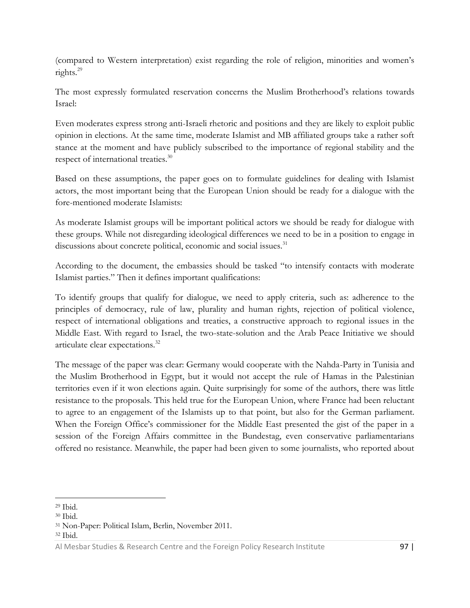(compared to Western interpretation) exist regarding the role of religion, minorities and women's rights.<sup>29</sup>

The most expressly formulated reservation concerns the Muslim Brotherhood's relations towards Israel:

Even moderates express strong anti-Israeli rhetoric and positions and they are likely to exploit public opinion in elections. At the same time, moderate Islamist and MB affiliated groups take a rather soft stance at the moment and have publicly subscribed to the importance of regional stability and the respect of international treaties.<sup>30</sup>

Based on these assumptions, the paper goes on to formulate guidelines for dealing with Islamist actors, the most important being that the European Union should be ready for a dialogue with the fore-mentioned moderate Islamists:

As moderate Islamist groups will be important political actors we should be ready for dialogue with these groups. While not disregarding ideological differences we need to be in a position to engage in discussions about concrete political, economic and social issues.<sup>31</sup>

According to the document, the embassies should be tasked "to intensify contacts with moderate Islamist parties." Then it defines important qualifications:

To identify groups that qualify for dialogue, we need to apply criteria, such as: adherence to the principles of democracy, rule of law, plurality and human rights, rejection of political violence, respect of international obligations and treaties, a constructive approach to regional issues in the Middle East. With regard to Israel, the two-state-solution and the Arab Peace Initiative we should articulate clear expectations.<sup>32</sup>

The message of the paper was clear: Germany would cooperate with the Nahda-Party in Tunisia and the Muslim Brotherhood in Egypt, but it would not accept the rule of Hamas in the Palestinian territories even if it won elections again. Quite surprisingly for some of the authors, there was little resistance to the proposals. This held true for the European Union, where France had been reluctant to agree to an engagement of the Islamists up to that point, but also for the German parliament. When the Foreign Office's commissioner for the Middle East presented the gist of the paper in a session of the Foreign Affairs committee in the Bundestag, even conservative parliamentarians offered no resistance. Meanwhile, the paper had been given to some journalists, who reported about

<sup>29</sup> Ibid.

<sup>30</sup> Ibid.

<sup>31</sup> Non-Paper: Political Islam, Berlin, November 2011.

<sup>32</sup> Ibid.

Al Mesbar Studies & Research Centre and the Foreign Policy Research Institute 97 |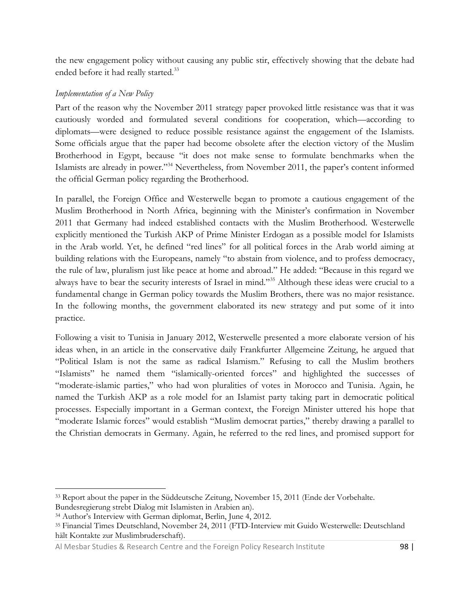the new engagement policy without causing any public stir, effectively showing that the debate had ended before it had really started.<sup>33</sup>

### *Implementation of a New Policy*

Part of the reason why the November 2011 strategy paper provoked little resistance was that it was cautiously worded and formulated several conditions for cooperation, which—according to diplomats—were designed to reduce possible resistance against the engagement of the Islamists. Some officials argue that the paper had become obsolete after the election victory of the Muslim Brotherhood in Egypt, because "it does not make sense to formulate benchmarks when the Islamists are already in power."<sup>34</sup> Nevertheless, from November 2011, the paper's content informed the official German policy regarding the Brotherhood.

In parallel, the Foreign Office and Westerwelle began to promote a cautious engagement of the Muslim Brotherhood in North Africa, beginning with the Minister's confirmation in November 2011 that Germany had indeed established contacts with the Muslim Brotherhood. Westerwelle explicitly mentioned the Turkish AKP of Prime Minister Erdogan as a possible model for Islamists in the Arab world. Yet, he defined "red lines" for all political forces in the Arab world aiming at building relations with the Europeans, namely "to abstain from violence, and to profess democracy, the rule of law, pluralism just like peace at home and abroad." He added: "Because in this regard we always have to bear the security interests of Israel in mind."<sup>35</sup> Although these ideas were crucial to a fundamental change in German policy towards the Muslim Brothers, there was no major resistance. In the following months, the government elaborated its new strategy and put some of it into practice.

Following a visit to Tunisia in January 2012, Westerwelle presented a more elaborate version of his ideas when, in an article in the conservative daily Frankfurter Allgemeine Zeitung, he argued that "Political Islam is not the same as radical Islamism." Refusing to call the Muslim brothers "Islamists" he named them "islamically-oriented forces" and highlighted the successes of "moderate-islamic parties," who had won pluralities of votes in Morocco and Tunisia. Again, he named the Turkish AKP as a role model for an Islamist party taking part in democratic political processes. Especially important in a German context, the Foreign Minister uttered his hope that "moderate Islamic forces" would establish "Muslim democrat parties," thereby drawing a parallel to the Christian democrats in Germany. Again, he referred to the red lines, and promised support for

<sup>33</sup> Report about the paper in the Süddeutsche Zeitung, November 15, 2011 (Ende der Vorbehalte.

Bundesregierung strebt Dialog mit Islamisten in Arabien an).

<sup>34</sup> Author's Interview with German diplomat, Berlin, June 4, 2012.

<sup>35</sup> Financial Times Deutschland, November 24, 2011 (FTD-Interview mit Guido Westerwelle: Deutschland hält Kontakte zur Muslimbruderschaft).

Al Mesbar Studies & Research Centre and the Foreign Policy Research Institute 98 |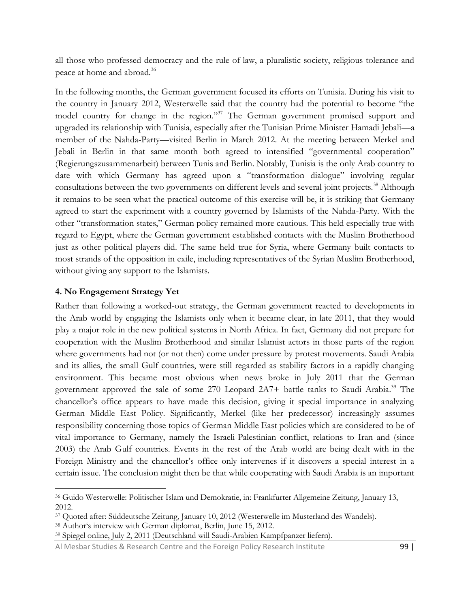all those who professed democracy and the rule of law, a pluralistic society, religious tolerance and peace at home and abroad.<sup>36</sup>

In the following months, the German government focused its efforts on Tunisia. During his visit to the country in January 2012, Westerwelle said that the country had the potential to become "the model country for change in the region."<sup>37</sup> The German government promised support and upgraded its relationship with Tunisia, especially after the Tunisian Prime Minister Hamadi Jebali—a member of the Nahda-Party—visited Berlin in March 2012. At the meeting between Merkel and Jebali in Berlin in that same month both agreed to intensified "governmental cooperation" (Regierungszusammenarbeit) between Tunis and Berlin. Notably, Tunisia is the only Arab country to date with which Germany has agreed upon a "transformation dialogue" involving regular consultations between the two governments on different levels and several joint projects.<sup>38</sup> Although it remains to be seen what the practical outcome of this exercise will be, it is striking that Germany agreed to start the experiment with a country governed by Islamists of the Nahda-Party. With the other "transformation states," German policy remained more cautious. This held especially true with regard to Egypt, where the German government established contacts with the Muslim Brotherhood just as other political players did. The same held true for Syria, where Germany built contacts to most strands of the opposition in exile, including representatives of the Syrian Muslim Brotherhood, without giving any support to the Islamists.

#### **4. No Engagement Strategy Yet**

 $\overline{\phantom{a}}$ 

Rather than following a worked-out strategy, the German government reacted to developments in the Arab world by engaging the Islamists only when it became clear, in late 2011, that they would play a major role in the new political systems in North Africa. In fact, Germany did not prepare for cooperation with the Muslim Brotherhood and similar Islamist actors in those parts of the region where governments had not (or not then) come under pressure by protest movements. Saudi Arabia and its allies, the small Gulf countries, were still regarded as stability factors in a rapidly changing environment. This became most obvious when news broke in July 2011 that the German government approved the sale of some 270 Leopard 2A7+ battle tanks to Saudi Arabia.<sup>39</sup> The chancellor's office appears to have made this decision, giving it special importance in analyzing German Middle East Policy. Significantly, Merkel (like her predecessor) increasingly assumes responsibility concerning those topics of German Middle East policies which are considered to be of vital importance to Germany, namely the Israeli-Palestinian conflict, relations to Iran and (since 2003) the Arab Gulf countries. Events in the rest of the Arab world are being dealt with in the Foreign Ministry and the chancellor's office only intervenes if it discovers a special interest in a certain issue. The conclusion might then be that while cooperating with Saudi Arabia is an important

<sup>36</sup> Guido Westerwelle: Politischer Islam und Demokratie, in: Frankfurter Allgemeine Zeitung, January 13, 2012.

<sup>37</sup> Quoted after: Süddeutsche Zeitung, January 10, 2012 (Westerwelle im Musterland des Wandels).

<sup>38</sup> Author's interview with German diplomat, Berlin, June 15, 2012.

<sup>39</sup> Spiegel online, July 2, 2011 (Deutschland will Saudi-Arabien Kampfpanzer liefern).

Al Mesbar Studies & Research Centre and the Foreign Policy Research Institute 99 |